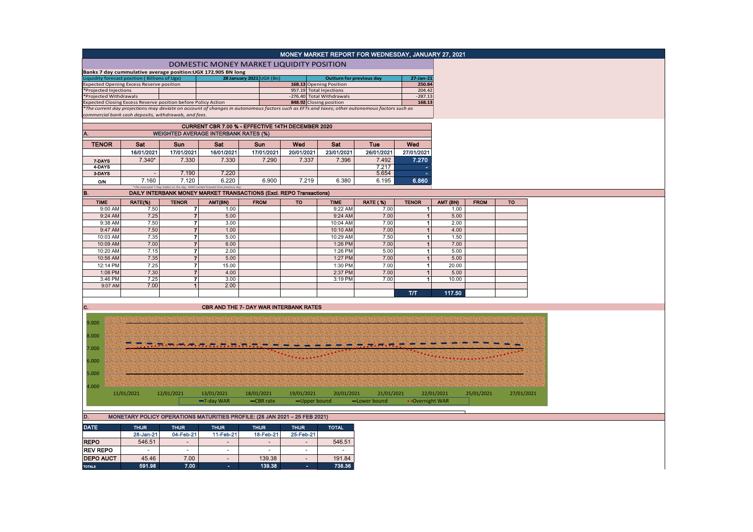|                        |                                                                                                                                               |                                                         |                                                                                      |                                                                     |                          |                                 | MONEY MARKET REPORT FOR WEDNESDAY, JANUARY 27, 2021 |                              |               |             |            |
|------------------------|-----------------------------------------------------------------------------------------------------------------------------------------------|---------------------------------------------------------|--------------------------------------------------------------------------------------|---------------------------------------------------------------------|--------------------------|---------------------------------|-----------------------------------------------------|------------------------------|---------------|-------------|------------|
|                        |                                                                                                                                               |                                                         |                                                                                      |                                                                     |                          |                                 |                                                     |                              |               |             |            |
|                        |                                                                                                                                               |                                                         |                                                                                      | DOMESTIC MONEY MARKET LIQUIDITY POSITION                            |                          |                                 |                                                     |                              |               |             |            |
|                        | Banks 7 day cummulative average position: UGX 172.905 BN long<br>liquidity forecast position (Billions of Ugx)                                |                                                         |                                                                                      | 28 January 2021 UGX (Bn)                                            |                          | <b>Outturn for previous day</b> |                                                     | 27-Jan-21                    |               |             |            |
|                        | <b>Expected Opening Excess Reserve position</b>                                                                                               |                                                         |                                                                                      |                                                                     |                          | 168.13 Opening Position         |                                                     | 250.84                       |               |             |            |
| *Projected Injections  |                                                                                                                                               |                                                         |                                                                                      |                                                                     | 957.19 Total Injections  |                                 |                                                     | 204.42                       |               |             |            |
| *Projected Withdrawals | Expected Closing Excess Reserve position before Policy Action                                                                                 |                                                         |                                                                                      |                                                                     | $-276.40$                | <b>Total Withdrawals</b>        |                                                     | $-287.13$<br>168.13          |               |             |            |
|                        | *The current day projections may deviate on account of changes in autonomous factors such as EFTs and taxes; other autonomous factors such as |                                                         |                                                                                      |                                                                     | 848.92 Closing position  |                                 |                                                     |                              |               |             |            |
|                        | commercial bank cash deposits, withdrawals, and fees.                                                                                         |                                                         |                                                                                      |                                                                     |                          |                                 |                                                     |                              |               |             |            |
|                        |                                                                                                                                               |                                                         |                                                                                      |                                                                     |                          |                                 |                                                     |                              |               |             |            |
|                        |                                                                                                                                               |                                                         | <b>WEIGHTED AVERAGE INTERBANK RATES (%)</b>                                          | CURRENT CBR 7.00 % - EFFECTIVE 14TH DECEMBER 2020                   |                          |                                 |                                                     |                              |               |             |            |
|                        |                                                                                                                                               |                                                         |                                                                                      |                                                                     |                          |                                 |                                                     |                              |               |             |            |
| <b>TENOR</b>           | Sat                                                                                                                                           | <b>Sun</b>                                              | Sat                                                                                  | Sun                                                                 | Wed                      | Sat                             | Tue                                                 | Wed                          |               |             |            |
|                        | 16/01/2021                                                                                                                                    | 17/01/2021                                              | 16/01/2021                                                                           | 17/01/2021                                                          | 20/01/2021               | 23/01/2021                      | 26/01/2021                                          | 27/01/2021                   |               |             |            |
| 7-DAYS                 | $7.340*$                                                                                                                                      | 7.330                                                   | 7.330                                                                                | 7.290                                                               | 7.337                    | 7.396                           | 7.492                                               | 7.270                        |               |             |            |
| 4-DAYS                 |                                                                                                                                               |                                                         |                                                                                      |                                                                     |                          |                                 | 7.217                                               |                              |               |             |            |
| 3-DAYS                 | $\sim$                                                                                                                                        | 7.190                                                   | 7.220                                                                                |                                                                     |                          |                                 | 5.654                                               |                              |               |             |            |
| 0/N                    | 7.160                                                                                                                                         | 7.120                                                   | 6.220<br>=No executed 7-Day trades on the day. WAR carried forward from previous day | 6.900                                                               | 7.219                    | 6.380                           | 6.195                                               | 6.860                        |               |             |            |
| B.                     |                                                                                                                                               |                                                         |                                                                                      | DAILY INTERBANK MONEY MARKET TRANSACTIONS (Excl. REPO Transactions) |                          |                                 |                                                     |                              |               |             |            |
| <b>TIME</b>            | RATE(%)                                                                                                                                       | <b>TENOR</b>                                            | AMT(BN)                                                                              | <b>FROM</b>                                                         | <b>TO</b>                | <b>TIME</b>                     | <b>RATE (%)</b>                                     | <b>TENOR</b>                 | AMT (BN)      | <b>FROM</b> | <b>TO</b>  |
| 9:00 AM                | 7.50                                                                                                                                          | $\overline{7}$                                          | 1.00                                                                                 |                                                                     |                          | 9:22 AM                         | 7.00                                                | $\mathbf{1}$                 | 1.00          |             |            |
| 9:24 AM                | 7.25                                                                                                                                          | $\overline{7}$                                          | 5.00                                                                                 |                                                                     |                          | 9:24 AM                         | 7.00                                                | $\mathbf{1}$                 | 5.00          |             |            |
| 9:38 AM                | 7.50                                                                                                                                          | $\overline{7}$                                          | 3.00                                                                                 |                                                                     |                          | 10:04 AM                        | 7.00                                                | $\mathbf{1}$                 | 2.00          |             |            |
| 9:47 AM                | 7.50                                                                                                                                          | $\overline{7}$                                          | 1.00                                                                                 |                                                                     |                          | 10:10 AM                        | 7.00                                                | $\mathbf{1}$                 | 4.00          |             |            |
| 10:03 AM               | 7.35                                                                                                                                          | $\overline{7}$                                          | 5.00                                                                                 |                                                                     |                          | 10:29 AM                        | 7.50                                                | $\vert$                      | 1.50          |             |            |
| 10:09 AM               | 7.00                                                                                                                                          | $\overline{7}$                                          | 6.00                                                                                 |                                                                     |                          | 1:26 PM                         | 7.00                                                | $\mathbf{1}$                 | 7.00          |             |            |
| 10:20 AM               | 7.15                                                                                                                                          | $\overline{\mathbf{z}}$                                 | 2.00                                                                                 |                                                                     |                          | 1:26 PM                         | 5.00                                                | $\blacksquare$               | 5.00          |             |            |
| 10:56 AM               | 7.35                                                                                                                                          | $\overline{7}$                                          | 5.00                                                                                 |                                                                     |                          | 1:27 PM                         | 7.00                                                | $\overline{\mathbf{1}}$      | 5.00          |             |            |
| 12:14 PM               | 7.25                                                                                                                                          | $\overline{7}$                                          | 15.00                                                                                |                                                                     |                          | 1:30 PM                         | 7.00                                                | $\blacksquare$               | 20.00         |             |            |
| 1:08 PM<br>3:46 PM     | 7.30<br>7.25                                                                                                                                  | $\overline{7}$<br>$\overline{7}$                        | 4.00<br>3.00                                                                         |                                                                     |                          | 2:37 PM<br>3:19 PM              | 7.00<br>7.00                                        | $\mathbf{1}$<br>$\mathbf{1}$ | 5.00<br>10.00 |             |            |
| 9:07 AM                | 7.00                                                                                                                                          | $\mathbf{1}$                                            | 2.00                                                                                 |                                                                     |                          |                                 |                                                     |                              |               |             |            |
|                        |                                                                                                                                               |                                                         |                                                                                      |                                                                     |                          |                                 |                                                     | тл                           | 117.50        |             |            |
|                        |                                                                                                                                               |                                                         |                                                                                      |                                                                     |                          |                                 |                                                     |                              |               |             |            |
| C.                     |                                                                                                                                               |                                                         |                                                                                      | <b>CBR AND THE 7- DAY WAR INTERBANK RATES</b>                       |                          |                                 |                                                     |                              |               |             |            |
|                        |                                                                                                                                               |                                                         |                                                                                      |                                                                     |                          |                                 |                                                     |                              |               |             |            |
| 9.000                  |                                                                                                                                               |                                                         |                                                                                      |                                                                     |                          |                                 |                                                     |                              |               |             |            |
|                        |                                                                                                                                               |                                                         |                                                                                      |                                                                     |                          |                                 |                                                     |                              |               |             |            |
| 8.000                  |                                                                                                                                               |                                                         |                                                                                      |                                                                     |                          |                                 |                                                     |                              |               |             |            |
| 7.000                  |                                                                                                                                               | $\sim$ $\sim$ $\sim$ $\sim$ $\sim$ $\sim$ $\sim$ $\sim$ |                                                                                      |                                                                     |                          |                                 |                                                     |                              |               |             |            |
|                        |                                                                                                                                               |                                                         |                                                                                      |                                                                     |                          |                                 |                                                     |                              |               |             |            |
| 6.000                  |                                                                                                                                               |                                                         |                                                                                      |                                                                     |                          |                                 |                                                     |                              |               |             |            |
|                        |                                                                                                                                               |                                                         |                                                                                      |                                                                     |                          |                                 |                                                     |                              |               |             |            |
| 5.000                  |                                                                                                                                               |                                                         |                                                                                      |                                                                     |                          |                                 |                                                     |                              |               |             |            |
| 4.000                  |                                                                                                                                               |                                                         |                                                                                      |                                                                     |                          |                                 |                                                     |                              |               |             |            |
|                        | 11/01/2021                                                                                                                                    | 12/01/2021                                              | 13/01/2021                                                                           | 18/01/2021                                                          | 19/01/2021               | 20/01/2021                      | 21/01/2021                                          |                              | 22/01/2021    | 25/01/2021  | 27/01/2021 |
|                        |                                                                                                                                               |                                                         | -7-day WAR                                                                           | -CBR rate                                                           | -Upper bound             |                                 | -Lower bound                                        | • Overnight WAR              |               |             |            |
|                        |                                                                                                                                               |                                                         |                                                                                      |                                                                     |                          |                                 |                                                     |                              |               |             |            |
| D.                     | MONETARY POLICY OPERATIONS MATURITIES PROFILE: (28 JAN 2021 - 25 FEB 2021)                                                                    |                                                         |                                                                                      |                                                                     |                          |                                 |                                                     |                              |               |             |            |
|                        |                                                                                                                                               |                                                         |                                                                                      |                                                                     |                          |                                 |                                                     |                              |               |             |            |
| <b>DATE</b>            | <b>THUR</b>                                                                                                                                   | <b>THUR</b>                                             | <b>THUR</b>                                                                          | <b>THUR</b>                                                         | <b>THUR</b>              | <b>TOTAL</b>                    |                                                     |                              |               |             |            |
|                        | 28-Jan-21                                                                                                                                     | 04-Feb-21                                               | 11-Feb-21                                                                            | 18-Feb-21                                                           | 25-Feb-21                |                                 |                                                     |                              |               |             |            |
| <b>REPO</b>            | 546.51                                                                                                                                        | $\sim$                                                  | $\sim$                                                                               | $\overline{\phantom{a}}$                                            | $\overline{\phantom{a}}$ | 546.51                          |                                                     |                              |               |             |            |
| <b>REV REPO</b>        | $\sim$                                                                                                                                        | $\sim$                                                  | $\sim$                                                                               | $\sim$                                                              | $\sim$                   | $\overline{\phantom{a}}$        |                                                     |                              |               |             |            |
| <b>DEPO AUCT</b>       | 45.46                                                                                                                                         | 7.00                                                    | $\sim$                                                                               | 139.38                                                              | $\sim$                   | 191.84                          |                                                     |                              |               |             |            |
| <b>TOTALS</b>          | 591.98                                                                                                                                        | 7.00                                                    | $\sim$                                                                               | 139.38                                                              | ٠                        | 738.36                          |                                                     |                              |               |             |            |
|                        |                                                                                                                                               |                                                         |                                                                                      |                                                                     |                          |                                 |                                                     |                              |               |             |            |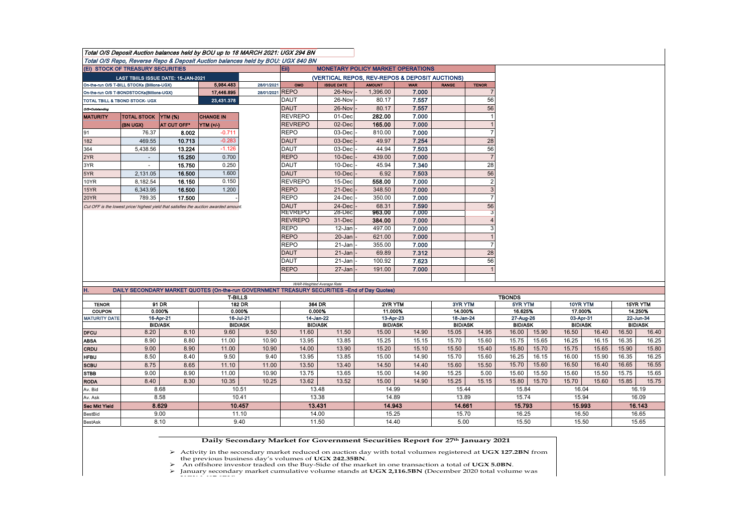|                                                         |                                             |                             | Total O/S Deposit Auction balances held by BOU up to 18 MARCH 2021: UGX 294 BN               |            |                               |                                                |                |                             |                         |                                |                         |          |                             |          |                             |        |  |
|---------------------------------------------------------|---------------------------------------------|-----------------------------|----------------------------------------------------------------------------------------------|------------|-------------------------------|------------------------------------------------|----------------|-----------------------------|-------------------------|--------------------------------|-------------------------|----------|-----------------------------|----------|-----------------------------|--------|--|
|                                                         |                                             |                             | Total O/S Repo, Reverse Repo & Deposit Auction balances held by BOU: UGX 840 BN              |            |                               |                                                |                |                             |                         |                                |                         |          |                             |          |                             |        |  |
|                                                         | (EI) STOCK OF TREASURY SECURITIES           |                             |                                                                                              |            | Eii)                          | <b>MONETARY POLICY MARKET OPERATIONS</b>       |                |                             |                         |                                |                         |          |                             |          |                             |        |  |
|                                                         | LAST TBIILS ISSUE DATE: 15-JAN-2021         |                             |                                                                                              |            |                               | (VERTICAL REPOS, REV-REPOS & DEPOSIT AUCTIONS) |                |                             |                         |                                |                         |          |                             |          |                             |        |  |
|                                                         | On-the-run O/S T-BILL STOCKs (Billions-UGX) |                             | 5.984.483                                                                                    | 28/01/2021 | OMO                           | <b>ISSUE DATE</b>                              | <b>AMOUNT</b>  | <b>WAR</b>                  | <b>RANGE</b>            | <b>TENOR</b>                   |                         |          |                             |          |                             |        |  |
| 17,446.895<br>On-the-run O/S T-BONDSTOCKs(Billions-UGX) |                                             |                             |                                                                                              | 28/01/2021 | <b>REPO</b>                   | 26-Nov                                         | 1,396.00       | 7.000                       |                         | $\overline{7}$                 |                         |          |                             |          |                             |        |  |
|                                                         | TOTAL TBILL & TBOND STOCK- UGX              |                             | 23,431.378                                                                                   |            | <b>DAUT</b>                   | 26-Nov                                         | 80.17          | 7.557                       |                         | 56                             |                         |          |                             |          |                             |        |  |
| O/S=Outstanding                                         |                                             |                             |                                                                                              |            | <b>DAUT</b>                   | 26-Nov                                         | 80.17          | 7.557                       |                         | 56                             |                         |          |                             |          |                             |        |  |
| <b>MATURITY</b>                                         | TOTAL STOCK YTM (%)                         |                             | <b>CHANGE IN</b>                                                                             |            | <b>REVREPO</b>                | 01-Dec                                         | 282.00         | 7.000                       |                         | $\mathbf{1}$<br>$\overline{1}$ |                         |          |                             |          |                             |        |  |
|                                                         | (BN UGX)                                    | <b>AT CUT OFF*</b>          | YTM (+/-)                                                                                    |            | <b>REVREPO</b><br><b>REPO</b> | 02-Dec                                         | 165.00         | 7.000                       |                         | $\overline{7}$                 |                         |          |                             |          |                             |        |  |
| 91                                                      | 76.37                                       | 8.002                       | $-0.711$<br>$-0.283$                                                                         |            |                               | 03-Dec<br>03-Dec                               | 810.00         | 7.000<br>7.254              |                         | 28                             |                         |          |                             |          |                             |        |  |
| 182<br>364                                              | 469.55                                      | 10.713<br>13.224            | $-1.126$                                                                                     |            | <b>DAUT</b><br><b>DAUT</b>    | 03-Dec                                         | 49.97<br>44.94 | 7.503                       |                         | 56                             |                         |          |                             |          |                             |        |  |
| 2YR                                                     | 5,438.56                                    | 15.250                      | 0.700                                                                                        |            | <b>REPO</b>                   | $10 - Dec$                                     | 439.00         | 7.000                       |                         | $\overline{7}$                 |                         |          |                             |          |                             |        |  |
|                                                         | $\overline{\phantom{a}}$<br>÷.              | 15.750                      | 0.250                                                                                        |            | <b>DAUT</b>                   | $10$ -Dec                                      | 45.94          | 7.340                       |                         | 28                             |                         |          |                             |          |                             |        |  |
| 3YR<br>5YR                                              |                                             | 16.500                      | 1.600                                                                                        |            | <b>DAUT</b>                   | 10-Dec                                         | 6.92           | 7.503                       |                         | 56                             |                         |          |                             |          |                             |        |  |
| 10YR                                                    | 2,131.05<br>8,182.54                        | 16.150                      | 0.150                                                                                        |            | <b>REVREPO</b>                | 15-Dec                                         | 558.00         | 7.000                       |                         | $\overline{2}$                 |                         |          |                             |          |                             |        |  |
| 15YR                                                    | 6,343.95                                    | 16.500                      | 1.200                                                                                        |            | <b>REPO</b>                   | 21-Dec                                         | 348.50         | 7.000                       |                         | $\mathbf{3}$                   |                         |          |                             |          |                             |        |  |
| 20YR                                                    | 789.35                                      | 17.500                      |                                                                                              |            | <b>REPO</b>                   | 24-Dec                                         | 350.00         | 7.000                       |                         | $\overline{7}$                 |                         |          |                             |          |                             |        |  |
|                                                         |                                             |                             |                                                                                              |            | <b>DAUT</b>                   | 24-Dec                                         | 68.31          | 7.590                       |                         | 56                             |                         |          |                             |          |                             |        |  |
|                                                         |                                             |                             | Cut OFF is the lowest price/ highest yield that satisfies the auction awarded amount.        |            | <b>REVREPO</b>                | $28-Dec$                                       | 963.00         | 7.000                       |                         | 3                              |                         |          |                             |          |                             |        |  |
|                                                         |                                             |                             |                                                                                              |            | <b>REVREPO</b>                | 31-Dec                                         | 384.00         | 7.000                       |                         | $\overline{4}$                 |                         |          |                             |          |                             |        |  |
|                                                         |                                             |                             |                                                                                              |            | <b>REPO</b>                   | 12-Jan                                         | 497.00         | 7.000                       |                         | 3                              |                         |          |                             |          |                             |        |  |
|                                                         |                                             |                             |                                                                                              |            | <b>REPO</b>                   | 20-Jan                                         | 621.00         | 7.000                       |                         | $\overline{1}$                 |                         |          |                             |          |                             |        |  |
|                                                         |                                             |                             |                                                                                              |            | <b>REPO</b>                   | $21 - Jan$                                     | 355.00         | 7.000                       |                         | $\overline{7}$                 |                         |          |                             |          |                             |        |  |
|                                                         |                                             |                             |                                                                                              |            | <b>DAUT</b>                   | 21-Jan                                         | 69.89          | 7.312                       |                         | 28                             |                         |          |                             |          |                             |        |  |
|                                                         |                                             |                             |                                                                                              |            | <b>DAUT</b>                   | $21 - Jan$                                     | 100.92         | 7.623                       |                         | 56                             |                         |          |                             |          |                             |        |  |
|                                                         |                                             |                             |                                                                                              |            | <b>REPO</b>                   | $27 - Jan$                                     | 191.00         | 7.000                       |                         |                                |                         |          |                             |          |                             |        |  |
|                                                         |                                             |                             |                                                                                              |            |                               |                                                |                |                             |                         |                                |                         |          |                             |          |                             |        |  |
| H.                                                      |                                             |                             | DAILY SECONDARY MARKET QUOTES (On-the-run GOVERNMENT TREASURY SECURITIES -End of Day Quotes) |            |                               | WAR-Weighted Average Rate                      |                |                             |                         |                                |                         |          |                             |          |                             |        |  |
|                                                         |                                             |                             | <b>T-BILLS</b>                                                                               |            |                               |                                                |                |                             |                         |                                | <b>TBONDS</b>           |          |                             |          |                             |        |  |
| <b>TENOR</b>                                            | <b>182 DR</b><br>91 DR                      |                             | 364 DR                                                                                       |            |                               | 2YR YTM                                        |                | 3YR YTM                     |                         | 5YR YTM                        |                         | 10YR YTM |                             | 15YR YTM |                             |        |  |
| <b>COUPON</b>                                           | 0.000%                                      |                             | 0.000%                                                                                       |            | 0.000%                        |                                                | 11.000%        |                             | 14.000%                 |                                | 16.625%                 |          | 17.000%                     |          | 14.250%                     |        |  |
| <b>MATURITY DATE</b>                                    |                                             | 16-Apr-21<br><b>BID/ASK</b> |                                                                                              | 16-Jul-21  |                               | 14-Jan-22<br><b>BID/ASK</b>                    |                | 13-Apr-23<br><b>BID/ASK</b> |                         | 18-Jan-24                      | 27-Aug-26               |          | 03-Apr-31<br><b>BID/ASK</b> |          | 22-Jun-34<br><b>BID/ASK</b> |        |  |
| <b>DFCU</b>                                             | 8.20                                        | 8.10                        | <b>BID/ASK</b><br>9.60                                                                       | 9.50       | 11.60                         | 11.50                                          | 15.00          | 14.90                       | <b>BID/ASK</b><br>15.05 | 14.95                          | <b>BID/ASK</b><br>16.00 | 15.90    | 16.50                       | 16.40    | 16.50                       | 16.40  |  |
| <b>ABSA</b>                                             | 8.90                                        | 8.80                        | 11.00                                                                                        | 10.90      | 13.95                         | 13.85                                          | 15.25          | 15.15                       | 15.70                   | 15.60                          | 15.75                   | 15.65    | 16.25                       | 16.15    | 16.35                       | 16.25  |  |
| <b>CRDU</b>                                             | 9.00                                        | 8.90                        | 11.00                                                                                        | 10.90      | 14.00                         | 13.90                                          | 15.20          | 15.10                       | 15.50                   | 15.40                          | 15.80                   | 15.70    | 15.75                       | 15.65    | 15.90                       | 15.80  |  |
| <b>HFBU</b>                                             | 8.50                                        | 8.40                        | 9.50                                                                                         | 9.40       | 13.95                         | 13.85                                          | 15.00          | 14.90                       | 15.70                   | 15.60                          | 16.25                   | 16.15    | 16.00                       | 15.90    | 16.35                       | 16.25  |  |
| <b>SCBU</b>                                             | 8.75                                        | 8.65                        | 11.10                                                                                        | 11.00      | 13.50                         | 13.40                                          | 14.50          | 14.40                       | 15.60                   | 15.50                          | 15.70                   | 15.60    | 16.50                       | 16.40    | 16.65                       | 16.55  |  |
| <b>STBB</b>                                             | 9.00                                        | 8.90                        | 11.00                                                                                        | 10.90      | 13.75                         | 13.65                                          | 15.00          | 14.90                       | 15.25                   | 5.00                           | 15.60                   | 15.50    | 15.60                       | 15.50    | 15.75                       | 15.65  |  |
| <b>RODA</b>                                             | 8.40                                        | 8.30                        | 10.35                                                                                        | 10.25      | 13.62                         | 13.52                                          | 15.00          | 14.90                       | 15.25                   | 15.15                          | 15.80                   | 15.70    | 15.70                       | 15.60    | 15.85                       | 15.75  |  |
| Av. Bid                                                 |                                             | 8.68                        | 10.51                                                                                        |            |                               | 13.48                                          | 14.99          |                             | 15.44                   |                                | 15.84                   |          | 16.04                       |          | 16.19                       |        |  |
| Av. Ask                                                 | 8.58                                        |                             |                                                                                              | 10.41      |                               | 13.38                                          |                | 14.89                       |                         | 13.89                          |                         | 15.74    |                             | 15.94    |                             | 16.09  |  |
| <b>Sec Mkt Yield</b>                                    | 8.629                                       |                             |                                                                                              | 10.457     |                               | 13.431                                         |                | 14.943                      |                         | 14.661                         |                         | 15.793   |                             | 15.993   |                             | 16.143 |  |
|                                                         | 9.00                                        |                             |                                                                                              |            |                               | 14.00                                          |                | 15.25                       |                         | 15.70                          |                         | 16.25    |                             | 16.50    |                             | 16.65  |  |
| BestBid                                                 |                                             |                             | 11.10                                                                                        |            |                               |                                                |                |                             |                         |                                |                         |          |                             |          |                             |        |  |

## **Daily Secondary Market for Government Securities Report for 27th January 2021**

Activity in the secondary market reduced on auction day with total volumes registered at **UGX 127.2BN** from<br>the previous business day's volumes of **UGX 242.35BN**.<br>An offshore investor traded on the Buy-Side of the market